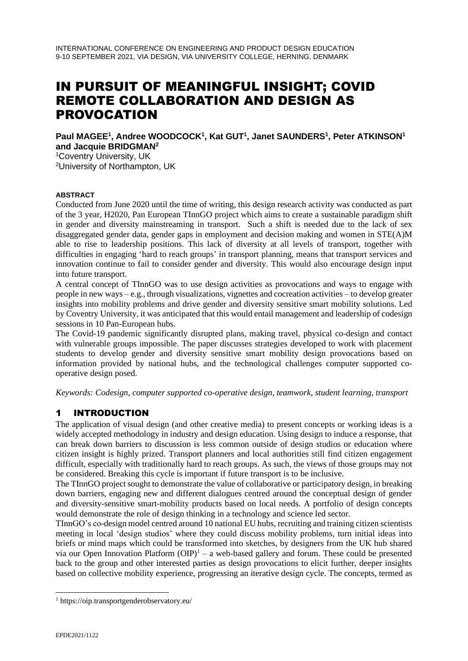# IN PURSUIT OF MEANINGFUL INSIGHT; COVID REMOTE COLLABORATION AND DESIGN AS PROVOCATION

### **Paul MAGEE<sup>1</sup> , Andree WOODCOCK<sup>1</sup> , Kat GUT<sup>1</sup> , Janet SAUNDERS<sup>1</sup> , Peter ATKINSON<sup>1</sup> and Jacquie BRIDGMAN<sup>2</sup>**

<sup>1</sup>Coventry University, UK

<sup>2</sup>University of Northampton, UK

### **ABSTRACT**

Conducted from June 2020 until the time of writing, this design research activity was conducted as part of the 3 year, H2020, Pan European TInnGO project which aims to create a sustainable paradigm shift in gender and diversity mainstreaming in transport. Such a shift is needed due to the lack of sex disaggregated gender data, gender gaps in employment and decision making and women in STE(A)M able to rise to leadership positions. This lack of diversity at all levels of transport, together with difficulties in engaging 'hard to reach groups' in transport planning, means that transport services and innovation continue to fail to consider gender and diversity. This would also encourage design input into future transport.

A central concept of TInnGO was to use design activities as provocations and ways to engage with people in new ways – e.g., through visualizations, vignettes and cocreation activities – to develop greater insights into mobility problems and drive gender and diversity sensitive smart mobility solutions. Led by Coventry University, it was anticipated that this would entail management and leadership of codesign sessions in 10 Pan-European hubs.

The Covid-19 pandemic significantly disrupted plans, making travel, physical co-design and contact with vulnerable groups impossible. The paper discusses strategies developed to work with placement students to develop gender and diversity sensitive smart mobility design provocations based on information provided by national hubs, and the technological challenges computer supported cooperative design posed.

*Keywords: Codesign, computer supported co-operative design, teamwork, student learning, transport*

# 1 INTRODUCTION

The application of visual design (and other creative media) to present concepts or working ideas is a widely accepted methodology in industry and design education. Using design to induce a response, that can break down barriers to discussion is less common outside of design studios or education where citizen insight is highly prized. Transport planners and local authorities still find citizen engagement difficult, especially with traditionally hard to reach groups. As such, the views of those groups may not be considered. Breaking this cycle is important if future transport is to be inclusive.

The TInnGO project sought to demonstrate the value of collaborative or participatory design, in breaking down barriers, engaging new and different dialogues centred around the conceptual design of gender and diversity-sensitive smart-mobility products based on local needs. A portfolio of design concepts would demonstrate the role of design thinking in a technology and science led sector.

TInnGO's co-design model centred around 10 national EU hubs, recruiting and training citizen scientists meeting in local 'design studios' where they could discuss mobility problems, turn initial ideas into briefs or mind maps which could be transformed into sketches, by designers from the UK hub shared via our Open Innovation Platform  $(OIP)^1$  – a web-based gallery and forum. These could be presented back to the group and other interested parties as design provocations to elicit further, deeper insights based on collective mobility experience, progressing an iterative design cycle. The concepts, termed as

<sup>1</sup> https://oip.transportgenderobservatory.eu/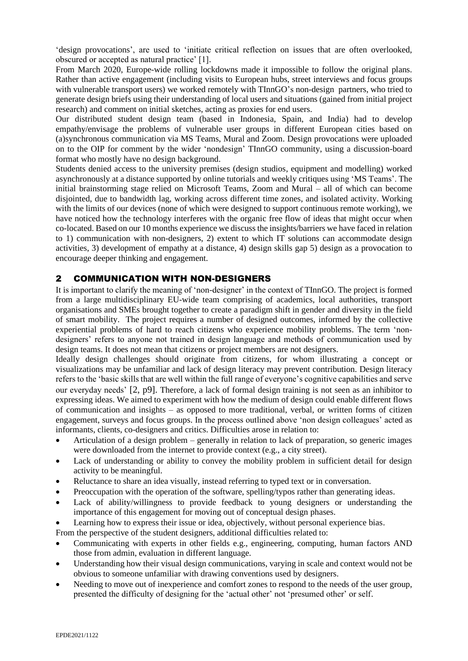'design provocations', are used to 'initiate critical reflection on issues that are often overlooked, obscured or accepted as natural practice' [1].

From March 2020, Europe-wide rolling lockdowns made it impossible to follow the original plans. Rather than active engagement (including visits to European hubs, street interviews and focus groups with vulnerable transport users) we worked remotely with TInnGO's non-design partners, who tried to generate design briefs using their understanding of local users and situations (gained from initial project research) and comment on initial sketches, acting as proxies for end users.

Our distributed student design team (based in Indonesia, Spain, and India) had to develop empathy/envisage the problems of vulnerable user groups in different European cities based on (a)synchronous communication via MS Teams, Mural and Zoom. Design provocations were uploaded on to the OIP for comment by the wider 'nondesign' TInnGO community, using a discussion-board format who mostly have no design background.

Students denied access to the university premises (design studios, equipment and modelling) worked asynchronously at a distance supported by online tutorials and weekly critiques using 'MS Teams'. The initial brainstorming stage relied on Microsoft Teams, Zoom and Mural – all of which can become disjointed, due to bandwidth lag, working across different time zones, and isolated activity. Working with the limits of our devices (none of which were designed to support continuous remote working), we have noticed how the technology interferes with the organic free flow of ideas that might occur when co-located. Based on our 10 months experience we discuss the insights/barriers we have faced in relation to 1) communication with non-designers, 2) extent to which IT solutions can accommodate design activities, 3) development of empathy at a distance, 4) design skills gap 5) design as a provocation to encourage deeper thinking and engagement.

### 2 COMMUNICATION WITH NON-DESIGNERS

It is important to clarify the meaning of 'non-designer' in the context of TInnGO. The project is formed from a large multidisciplinary EU-wide team comprising of academics, local authorities, transport organisations and SMEs brought together to create a paradigm shift in gender and diversity in the field of smart mobility. The project requires a number of designed outcomes, informed by the collective experiential problems of hard to reach citizens who experience mobility problems. The term 'nondesigners' refers to anyone not trained in design language and methods of communication used by design teams. It does not mean that citizens or project members are not designers.

Ideally design challenges should originate from citizens, for whom illustrating a concept or visualizations may be unfamiliar and lack of design literacy may prevent contribution. Design literacy refers to the 'basic skills that are well within the full range of everyone's cognitive capabilities and serve our everyday needs' [2, p9]. Therefore, a lack of formal design training is not seen as an inhibitor to expressing ideas. We aimed to experiment with how the medium of design could enable different flows of communication and insights – as opposed to more traditional, verbal, or written forms of citizen engagement, surveys and focus groups. In the process outlined above 'non design colleagues' acted as informants, clients, co-designers and critics. Difficulties arose in relation to:

- Articulation of a design problem generally in relation to lack of preparation, so generic images were downloaded from the internet to provide context (e.g., a city street).
- Lack of understanding or ability to convey the mobility problem in sufficient detail for design activity to be meaningful.
- Reluctance to share an idea visually, instead referring to typed text or in conversation.
- Preoccupation with the operation of the software, spelling/typos rather than generating ideas.
- Lack of ability/willingness to provide feedback to young designers or understanding the importance of this engagement for moving out of conceptual design phases.
- Learning how to express their issue or idea, objectively, without personal experience bias.
- From the perspective of the student designers, additional difficulties related to:
- Communicating with experts in other fields e.g., engineering, computing, human factors AND those from admin, evaluation in different language.
- Understanding how their visual design communications, varying in scale and context would not be obvious to someone unfamiliar with drawing conventions used by designers.
- Needing to move out of inexperience and comfort zones to respond to the needs of the user group, presented the difficulty of designing for the 'actual other' not 'presumed other' or self.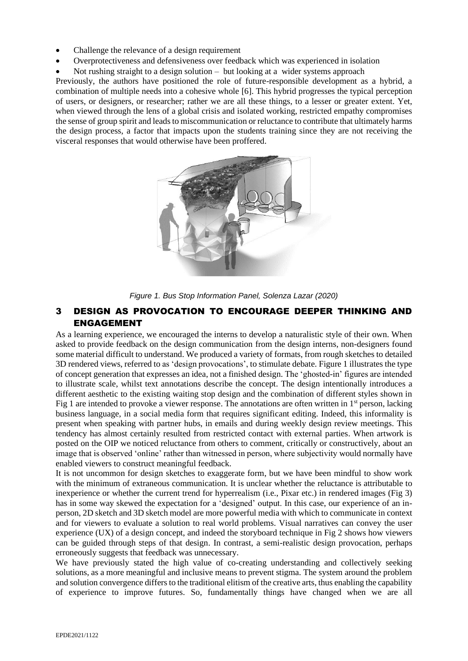- Challenge the relevance of a design requirement
- Overprotectiveness and defensiveness over feedback which was experienced in isolation
- Not rushing straight to a design solution  $-$  but looking at a wider systems approach

Previously, the authors have positioned the role of future-responsible development as a hybrid, a combination of multiple needs into a cohesive whole [6]. This hybrid progresses the typical perception of users, or designers, or researcher; rather we are all these things, to a lesser or greater extent. Yet, when viewed through the lens of a global crisis and isolated working, restricted empathy compromises the sense of group spirit and leads to miscommunication or reluctance to contribute that ultimately harms the design process, a factor that impacts upon the students training since they are not receiving the visceral responses that would otherwise have been proffered.



*Figure 1. Bus Stop Information Panel, Solenza Lazar (2020)*

### 3 DESIGN AS PROVOCATION TO ENCOURAGE DEEPER THINKING AND ENGAGEMENT

As a learning experience, we encouraged the interns to develop a naturalistic style of their own. When asked to provide feedback on the design communication from the design interns, non-designers found some material difficult to understand. We produced a variety of formats, from rough sketches to detailed 3D rendered views, referred to as 'design provocations', to stimulate debate. Figure 1 illustrates the type of concept generation that expresses an idea, not a finished design. The 'ghosted-in' figures are intended to illustrate scale, whilst text annotations describe the concept. The design intentionally introduces a different aesthetic to the existing waiting stop design and the combination of different styles shown in Fig 1 are intended to provoke a viewer response. The annotations are often written in  $1<sup>st</sup>$  person, lacking business language, in a social media form that requires significant editing. Indeed, this informality is present when speaking with partner hubs, in emails and during weekly design review meetings. This tendency has almost certainly resulted from restricted contact with external parties. When artwork is posted on the OIP we noticed reluctance from others to comment, critically or constructively, about an image that is observed 'online' rather than witnessed in person, where subjectivity would normally have enabled viewers to construct meaningful feedback.

It is not uncommon for design sketches to exaggerate form, but we have been mindful to show work with the minimum of extraneous communication. It is unclear whether the reluctance is attributable to inexperience or whether the current trend for hyperrealism (i.e., Pixar etc.) in rendered images (Fig 3) has in some way skewed the expectation for a 'designed' output. In this case, our experience of an inperson, 2D sketch and 3D sketch model are more powerful media with which to communicate in context and for viewers to evaluate a solution to real world problems. Visual narratives can convey the user experience (UX) of a design concept, and indeed the storyboard technique in Fig 2 shows how viewers can be guided through steps of that design. In contrast, a semi-realistic design provocation, perhaps erroneously suggests that feedback was unnecessary.

We have previously stated the high value of co-creating understanding and collectively seeking solutions, as a more meaningful and inclusive means to prevent stigma. The system around the problem and solution convergence differs to the traditional elitism of the creative arts, thus enabling the capability of experience to improve futures. So, fundamentally things have changed when we are all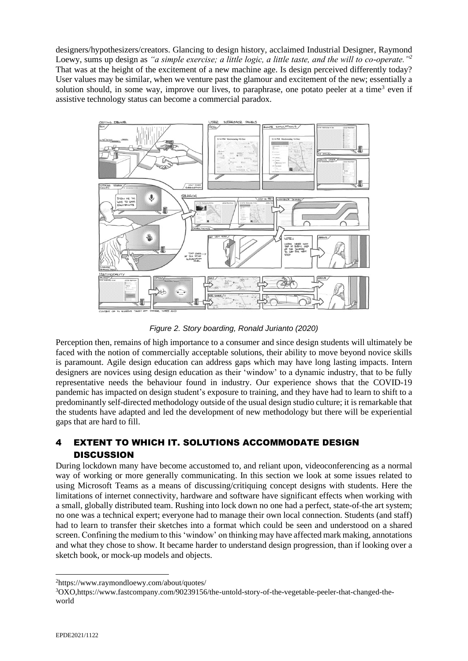designers/hypothesizers/creators. Glancing to design history, acclaimed Industrial Designer, Raymond Loewy, sums up design as *"a simple exercise; a little logic, a little taste, and the will to co-operate."<sup>2</sup>* That was at the height of the excitement of a new machine age. Is design perceived differently today? User values may be similar, when we venture past the glamour and excitement of the new; essentially a solution should, in some way, improve our lives, to paraphrase, one potato peeler at a time<sup>3</sup> even if assistive technology status can become a commercial paradox.



*Figure 2. Story boarding, Ronald Jurianto (2020)*

Perception then, remains of high importance to a consumer and since design students will ultimately be faced with the notion of commercially acceptable solutions, their ability to move beyond novice skills is paramount. Agile design education can address gaps which may have long lasting impacts. Intern designers are novices using design education as their 'window' to a dynamic industry, that to be fully representative needs the behaviour found in industry. Our experience shows that the COVID-19 pandemic has impacted on design student's exposure to training, and they have had to learn to shift to a predominantly self-directed methodology outside of the usual design studio culture; it is remarkable that the students have adapted and led the development of new methodology but there will be experiential gaps that are hard to fill.

# 4 EXTENT TO WHICH IT. SOLUTIONS ACCOMMODATE DESIGN **DISCUSSION**

During lockdown many have become accustomed to, and reliant upon, videoconferencing as a normal way of working or more generally communicating. In this section we look at some issues related to using Microsoft Teams as a means of discussing/critiquing concept designs with students. Here the limitations of internet connectivity, hardware and software have significant effects when working with a small, globally distributed team. Rushing into lock down no one had a perfect, state-of-the art system; no one was a technical expert; everyone had to manage their own local connection. Students (and staff) had to learn to transfer their sketches into a format which could be seen and understood on a shared screen. Confining the medium to this 'window' on thinking may have affected mark making, annotations and what they chose to show. It became harder to understand design progression, than if looking over a sketch book, or mock-up models and objects.

3OXO[,https://www.fastcompany.com/90239156/the-untold-story-of-the-vegetable-peeler-that-changed-the](https://www.fastcompany.com/90239156/the-untold-story-of-the-vegetable-peeler-that-changed-the-world)[world](https://www.fastcompany.com/90239156/the-untold-story-of-the-vegetable-peeler-that-changed-the-world)

<sup>2</sup>https://www.raymondloewy.com/about/quotes/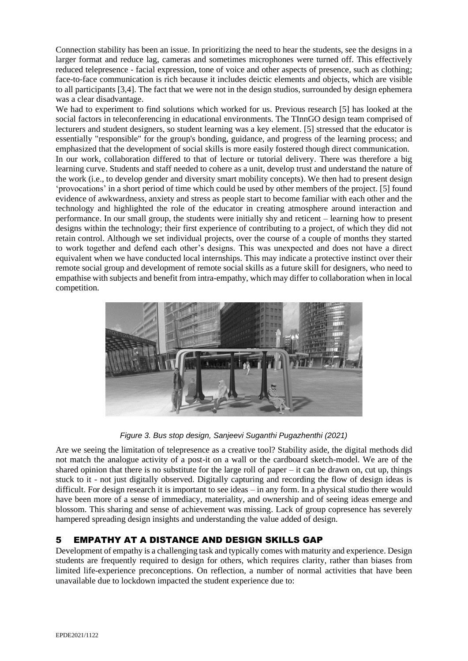Connection stability has been an issue. In prioritizing the need to hear the students, see the designs in a larger format and reduce lag, cameras and sometimes microphones were turned off. This effectively reduced telepresence - facial expression, tone of voice and other aspects of presence, such as clothing; face-to-face communication is rich because it includes deictic elements and objects, which are visible to all participants [3,4]. The fact that we were not in the design studios, surrounded by design ephemera was a clear disadvantage.

We had to experiment to find solutions which worked for us. Previous research [5] has looked at the social factors in teleconferencing in educational environments. The TInnGO design team comprised of lecturers and student designers, so student learning was a key element. [5] stressed that the educator is essentially "responsible" for the group's bonding, guidance, and progress of the learning process; and emphasized that the development of social skills is more easily fostered though direct communication. In our work, collaboration differed to that of lecture or tutorial delivery. There was therefore a big learning curve. Students and staff needed to cohere as a unit, develop trust and understand the nature of the work (i.e., to develop gender and diversity smart mobility concepts). We then had to present design 'provocations' in a short period of time which could be used by other members of the project. [5] found evidence of awkwardness, anxiety and stress as people start to become familiar with each other and the technology and highlighted the role of the educator in creating atmosphere around interaction and performance. In our small group, the students were initially shy and reticent – learning how to present designs within the technology; their first experience of contributing to a project, of which they did not retain control. Although we set individual projects, over the course of a couple of months they started to work together and defend each other's designs. This was unexpected and does not have a direct equivalent when we have conducted local internships. This may indicate a protective instinct over their remote social group and development of remote social skills as a future skill for designers, who need to empathise with subjects and benefit from intra-empathy, which may differ to collaboration when in local competition.



*Figure 3. Bus stop design, Sanjeevi Suganthi Pugazhenthi (2021)*

Are we seeing the limitation of telepresence as a creative tool? Stability aside, the digital methods did not match the analogue activity of a post-it on a wall or the cardboard sketch-model. We are of the shared opinion that there is no substitute for the large roll of paper – it can be drawn on, cut up, things stuck to it - not just digitally observed. Digitally capturing and recording the flow of design ideas is difficult. For design research it is important to see ideas – in any form. In a physical studio there would have been more of a sense of immediacy, materiality, and ownership and of seeing ideas emerge and blossom. This sharing and sense of achievement was missing. Lack of group copresence has severely hampered spreading design insights and understanding the value added of design.

## 5 EMPATHY AT A DISTANCE AND DESIGN SKILLS GAP

Development of empathy is a challenging task and typically comes with maturity and experience. Design students are frequently required to design for others, which requires clarity, rather than biases from limited life-experience preconceptions. On reflection, a number of normal activities that have been unavailable due to lockdown impacted the student experience due to: